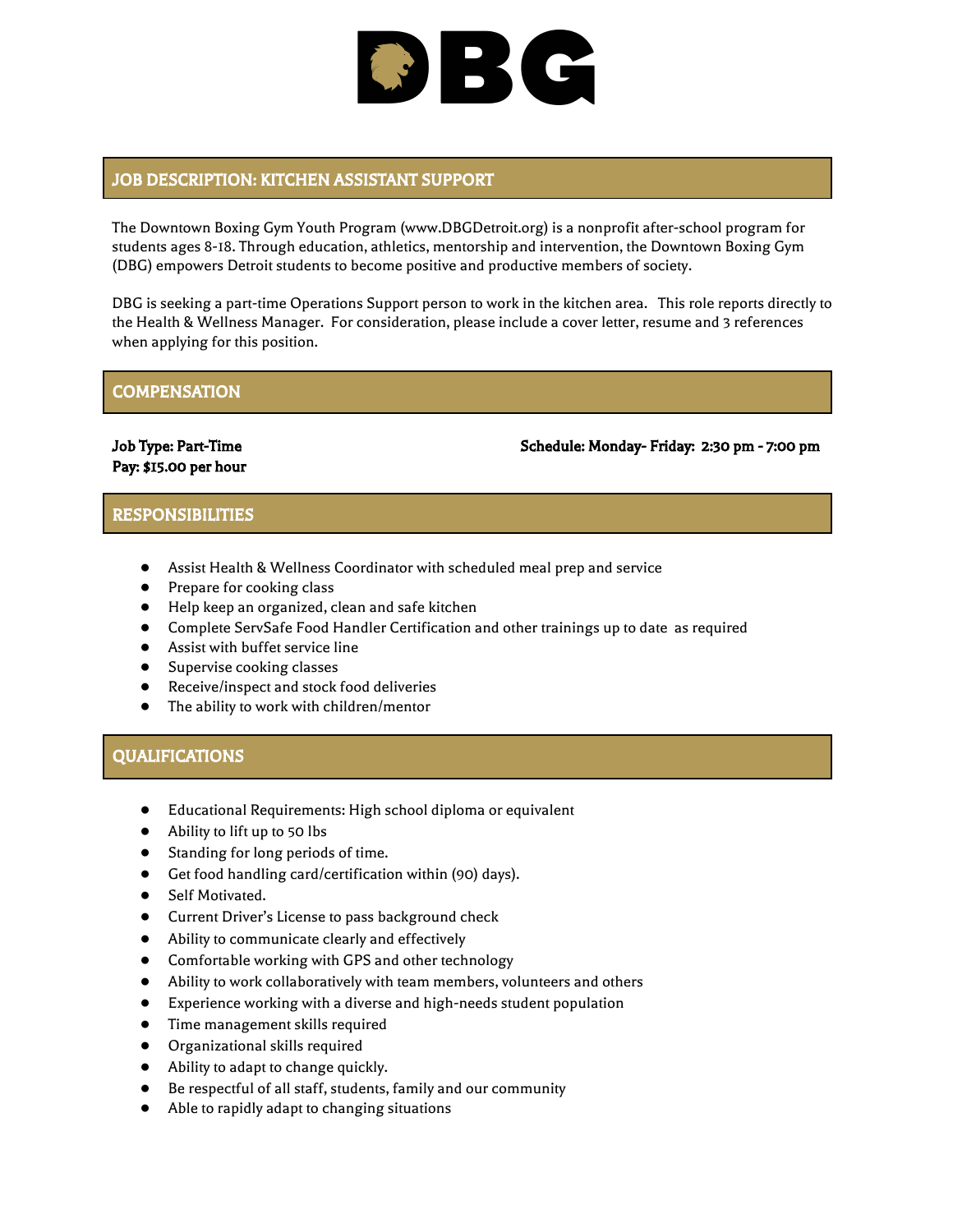# BC

# JOB DESCRIPTION: KITCHEN ASSISTANT SUPPORT

The Downtown Boxing Gym Youth Program (www.DBGDetroit.org) is a nonprofit after-school program for students ages 8-18. Through education, athletics, mentorship and intervention, the Downtown Boxing Gym (DBG) empowers Detroit students to become positive and productive members of society.

DBG is seeking a part-time Operations Support person to work in the kitchen area. This role reports directly to the Health & Wellness Manager. For consideration, please include a cover letter, resume and 3 references when applying for this position.

## **COMPENSATION**

Pay: \$15.00 per hour

Job Type: Part-Time Schedule: Monday- Friday: 2:30 pm - 7:00 pm

### RESPONSIBILITIES

- Assist Health & Wellness Coordinator with scheduled meal prep and service
- Prepare for cooking class
- Help keep an organized, clean and safe kitchen
- Complete ServSafe Food Handler Certification and other trainings up to date as required
- **•** Assist with buffet service line
- Supervise cooking classes
- Receive/inspect and stock food deliveries
- The ability to work with children/mentor

### QUALIFICATIONS

- Educational Requirements: High school diploma or equivalent
- Ability to lift up to 50 lbs
- Standing for long periods of time.
- Get food handling card/certification within (90) days).
- Self Motivated.
- Current Driver's License to pass background check
- Ability to communicate clearly and effectively
- Comfortable working with GPS and other technology
- Ability to work collaboratively with team members, volunteers and others
- Experience working with a diverse and high-needs student population
- Time management skills required
- Organizational skills required
- Ability to adapt to change quickly.
- Be respectful of all staff, students, family and our community
- Able to rapidly adapt to changing situations